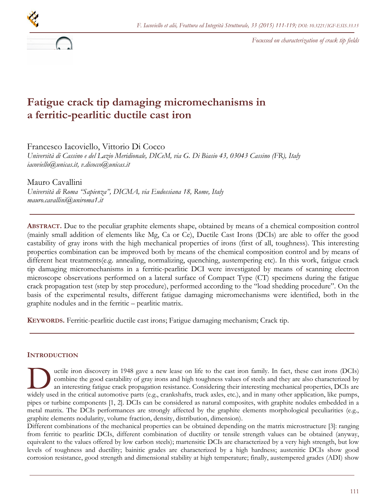

*Focussed on characterization of crack tip fields* 

# **Fatigue crack tip damaging micromechanisms in a ferritic-pearlitic ductile cast iron**

Francesco Iacoviello, Vittorio Di Cocco

*Università di Cassino e del Lazio Meridionale, DICeM, via G. Di Biasio 43, 03043 Cassino (FR), Italy iacoviello@unicas.it, v.dicocco@unicas.it* 

Mauro Cavallini *Università di Roma "Sapienza", DICMA, via Eudossiana 18, Rome, Italy mauro.cavallini@uniroma1.it* 

**ABSTRACT.** Due to the peculiar graphite elements shape, obtained by means of a chemical composition control (mainly small addition of elements like Mg, Ca or Ce), Ductile Cast Irons (DCIs) are able to offer the good castability of gray irons with the high mechanical properties of irons (first of all, toughness). This interesting properties combination can be improved both by means of the chemical composition control and by means of different heat treatments(e.g. annealing, normalizing, quenching, austempering etc). In this work, fatigue crack tip damaging micromechanisms in a ferritic-pearlitic DCI were investigated by means of scanning electron microscope observations performed on a lateral surface of Compact Type (CT) specimens during the fatigue crack propagation test (step by step procedure), performed according to the "load shedding procedure". On the basis of the experimental results, different fatigue damaging micromechanisms were identified, both in the graphite nodules and in the ferritic – pearlitic matrix.

**KEYWORDS.** Ferritic-pearlitic ductile cast irons; Fatigue damaging mechanism; Crack tip.

## **INTRODUCTION**

uctile iron discovery in 1948 gave a new lease on life to the cast iron family. In fact, these cast irons (DCIs) combine the good castability of gray irons and high toughness values of steels and they are also characterized by an interesting fatigue crack propagation resistance. Considering their interesting mechanical properties, DCIs are with the critical automotive parts (e.g., crankshafts, truck axles, etc.), and in many other application, like pumps, the critical automotive parts (e.g., crankshafts, truck axles, etc.), and in many other application, lik pipes or turbine components [1, 2]. DCIs can be considered as natural composites, with graphite nodules embedded in a metal matrix. The DCIs performances are strongly affected by the graphite elements morphological peculiarities (e.g., graphite elements nodularity, volume fraction, density, distribution, dimension).

Different combinations of the mechanical properties can be obtained depending on the matrix microstructure [3]: ranging from ferritic to pearlitic DCIs, different combination of ductility or tensile strength values can be obtained (anyway, equivalent to the values offered by low carbon steels); martensitic DCIs are characterized by a very high strength, but low levels of toughness and ductility; bainitic grades are characterized by a high hardness; austenitic DCIs show good corrosion resistance, good strength and dimensional stability at high temperature; finally, austempered grades (ADI) show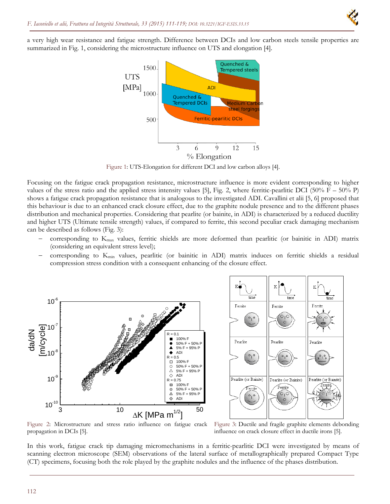a very high wear resistance and fatigue strength. Difference between DCIs and low carbon steels tensile properties are summarized in Fig. 1, considering the microstructure influence on UTS and elongation [4].



Figure 1: UTS-Elongation for different DCI and low carbon alloys [4].

Focusing on the fatigue crack propagation resistance, microstructure influence is more evident corresponding to higher values of the stress ratio and the applied stress intensity values [5], Fig. 2, where ferritic-pearlitic DCI (50%  $F - 50%$  P) shows a fatigue crack propagation resistance that is analogous to the investigated ADI. Cavallini et alii [5, 6] proposed that this behaviour is due to an enhanced crack closure effect, due to the graphite nodule presence and to the different phases distribution and mechanical properties. Considering that pearlite (or bainite, in ADI) is characterized by a reduced ductility and higher UTS (Ultimate tensile strength) values, if compared to ferrite, this second peculiar crack damaging mechanism can be described as follows (Fig. 3):

- corresponding to Kmax values, ferritic shields are more deformed than pearlitic (or bainitic in ADI) matrix (considering an equivalent stress level);
- corresponding to Kmin values, pearlitic (or bainitic in ADI) matrix induces on ferritic shields a residual compression stress condition with a consequent enhancing of the closure effect.





Figure 2: Microstructure and stress ratio influence on fatigue crack propagation in DCIs [5].

Figure 3: Ductile and fragile graphite elements debonding influence on crack closure effect in ductile irons [5].

In this work, fatigue crack tip damaging micromechanisms in a ferritic-pearlitic DCI were investigated by means of scanning electron microscope (SEM) observations of the lateral surface of metallographically prepared Compact Type (CT) specimens, focusing both the role played by the graphite nodules and the influence of the phases distribution.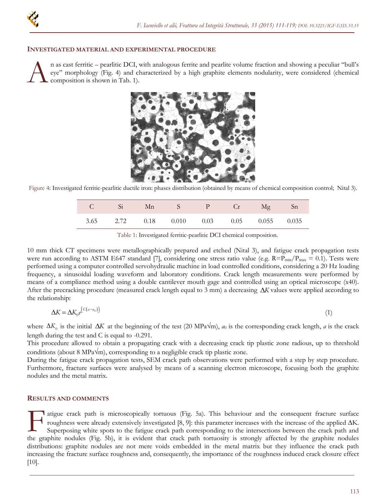

#### **INVESTIGATED MATERIAL AND EXPERIMENTAL PROCEDURE**

n as cast ferritic – pearlitic DCI, with analogous ferrite and pearlite volume fraction and showing a peculiar "bull's eye" morphology (Fig. 4) and characterized by a high graphite elements nodularity, were considered (chemical composition is shown in Tab. 1). A



Figure 4: Investigated ferritic-pearlitic ductile iron: phases distribution (obtained by means of chemical composition control; Nital 3).

|  | C Si Mn S P Cr Mg Sn                       |  |  |
|--|--------------------------------------------|--|--|
|  | 3.65 2.72 0.18 0.010 0.03 0.05 0.055 0.035 |  |  |

|  | Table 1: Investigated ferritic-pearlitic DCI chemical composition. |  |  |
|--|--------------------------------------------------------------------|--|--|
|  |                                                                    |  |  |

10 mm thick CT specimens were metallographically prepared and etched (Nital 3), and fatigue crack propagation tests were run according to ASTM E647 standard [7], considering one stress ratio value (e.g.  $R= P_{min}/P_{max} = 0.1$ ). Tests were performed using a computer controlled servohydraulic machine in load controlled conditions, considering a 20 Hz loading frequency, a sinusoidal loading waveform and laboratory conditions. Crack length measurements were performed by means of a compliance method using a double cantilever mouth gage and controlled using an optical microscope (x40). After the precracking procedure (measured crack length equal to 3 mm) a decreasing  $\Delta K$  values were applied according to the relationship:

$$
\Delta K = \Delta K_0 e^{[C(a-a_0)]} \tag{1}
$$

where  $\Delta K_0$  is the initial  $\Delta K$  at the beginning of the test (20 MPa $\sqrt{m}$ ),  $a_0$  is the corresponding crack length, *a* is the crack length during the test and C is equal to -0.291.

This procedure allowed to obtain a propagating crack with a decreasing crack tip plastic zone radious, up to threshold conditions (about 8 MPa $\sqrt{m}$ ), corresponding to a negligible crack tip plastic zone.

During the fatigue crack propagation tests, SEM crack path observations were performed with a step by step procedure. Furthermore, fracture surfaces were analysed by means of a scanning electron microscope, focusing both the graphite nodules and the metal matrix.

#### **RESULTS AND COMMENTS**

I atigue crack path is microscopically tortuous (Fig. 5a). This behaviour and the consequent fracture surface roughness were already extensively investigated [8, 9]: this parameter increases with the increase of the applied  $\Delta K$ . Superposing white spots to the fatigue crack path corresponding to the intersections between the crack path and This behaviour and the consequent fracture surface<br>the graphites were already extensively investigated [8, 9]: this parameter increases with the increase of the applied  $\Delta K$ .<br>Superposing white spots to the fatigue crack p distributions: graphite nodules are not mere voids embedded in the metal matrix but they influence the crack path increasing the fracture surface roughness and, consequently, the importance of the roughness induced crack closure effect [10].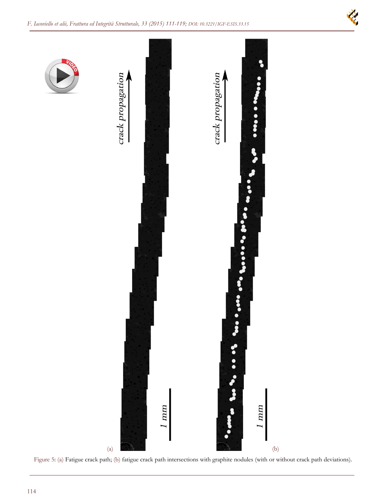

Figure 5: (a) Fatigue crack path; (b) fatigue crack path intersections with graphite nodules (with or without crack path deviations).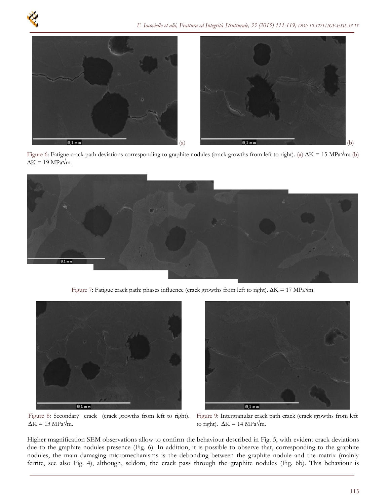

Figure 6: Fatigue crack path deviations corresponding to graphite nodules (crack growths from left to right). (a)  $\Delta K = 15 \text{ MPa}\sqrt{\text{m}}$ ; (b)  $\Delta K = 19 \text{ MPa}\sqrt{\text{m}}$ .



Figure 7: Fatigue crack path: phases influence (crack growths from left to right).  $\Delta K = 17 \text{ MPa}\sqrt{\text{m}}$ .



Figure 8: Secondary crack (crack growths from left to right).  $\Delta K = 13 \text{ MPa}\sqrt{\text{m}}$ .



Figure 9: Intergranular crack path crack (crack growths from left to right).  $\Delta K = 14 \text{ MPa}\sqrt{\text{m}}$ .

Higher magnification SEM observations allow to confirm the behaviour described in Fig. 5, with evident crack deviations due to the graphite nodules presence (Fig. 6). In addition, it is possible to observe that, corresponding to the graphite nodules, the main damaging micromechanisms is the debonding between the graphite nodule and the matrix (mainly ferrite, see also Fig. 4), although, seldom, the crack pass through the graphite nodules (Fig. 6b). This behaviour is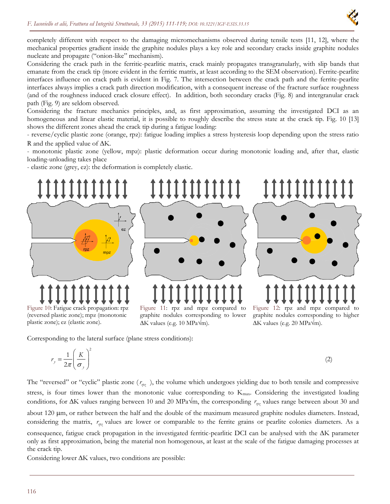

completely different with respect to the damaging micromechanisms observed during tensile tests [11, 12], where the mechanical properties gradient inside the graphite nodules plays a key role and secondary cracks inside graphite nodules nucleate and propagate ("onion-like" mechanism).

Considering the crack path in the ferritic-pearlitic matrix, crack mainly propagates transgranularly, with slip bands that emanate from the crack tip (more evident in the ferritic matrix, at least according to the SEM observation). Ferrite-pearlite interfaces influence on crack path is evident in Fig. 7. The intersection between the crack path and the ferrite-pearlite interfaces always implies a crack path direction modification, with a consequent increase of the fracture surface roughness (and of the roughness induced crack closure effect). In addition, both secondary cracks (Fig. 8) and intergranular crack path (Fig. 9) are seldom observed.

Considering the fracture mechanics principles, and, as first approximation, assuming the investigated DCI as an homogeneous and linear elastic material, it is possible to roughly describe the stress state at the crack tip. Fig. 10 [13] shows the different zones ahead the crack tip during a fatigue loading:

- reverse/cyclic plastic zone (orange, rpz): fatigue loading implies a stress hysteresis loop depending upon the stress ratio R and the applied value of  $\Delta K$ .

- monotonic plastic zone (yellow, mpz): plastic deformation occur during monotonic loading and, after that, elastic loading-unloading takes place

- elastic zone (grey, ez): the deformation is completely elastic.



Figure 10: Fatigue crack propagation: rpz (reversed plastic zone); mpz (monotonic plastic zone); ez (elastic zone).

Figure 11: rpz and mpz compared to graphite nodules corresponding to lower  $\Delta K$  values (e.g. 10 MPa $\sqrt{m}$ ).

Figure 12: rpz and mpz compared to graphite nodules corresponding to higher  $\Delta K$  values (e.g. 20 MPa $\sqrt{m}$ ).

Corresponding to the lateral surface (plane stress conditions):

$$
r_y = \frac{1}{2\pi} \left(\frac{K}{\sigma_y}\right)^2 \tag{2}
$$

The "reversed" or "cyclic" plastic zone  $(r_{\phi z})$ , the volume which undergoes yielding due to both tensile and compressive stress, is four times lower than the monotonic value corresponding to K<sub>max</sub>. Considering the investigated loading conditions, for  $\Delta K$  values ranging between 10 and 20 MPa $\sqrt{m}$ , the corresponding  $r_{\phi\phi}$  values range between about 30 and about 120 µm, or rather between the half and the double of the maximum measured graphite nodules diameters. Instead, considering the matrix,  $r_{\eta z}$  values are lower or comparable to the ferrite grains or pearlite colonies diameters. As a consequence, fatigue crack propagation in the investigated ferritic-pearlitic DCI can be analysed with the  $\Delta K$  parameter

only as first approximation, being the material non homogenous, at least at the scale of the fatigue damaging processes at the crack tip.

Considering lower  $\Delta K$  values, two conditions are possible: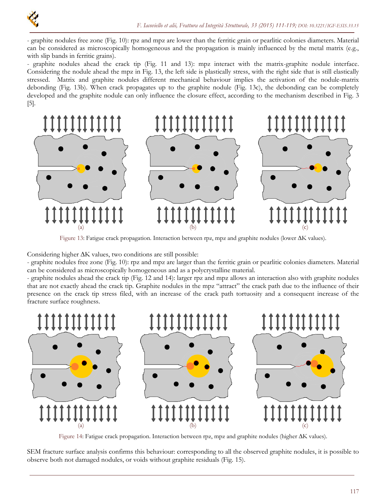

- graphite nodules free zone (Fig. 10): rpz and mpz are lower than the ferritic grain or pearlitic colonies diameters. Material can be considered as microscopically homogeneous and the propagation is mainly influenced by the metal matrix (e.g., with slip bands in ferritic grains).

- graphite nodules ahead the crack tip (Fig. 11 and 13): mpz interact with the matrix-graphite nodule interface. Considering the nodule ahead the mpz in Fig. 13, the left side is plastically stress, with the right side that is still elastically stressed. Matrix and graphite nodules different mechanical behaviour implies the activation of the nodule-matrix debonding (Fig. 13b). When crack propagates up to the graphite nodule (Fig. 13c), the debonding can be completely developed and the graphite nodule can only influence the closure effect, according to the mechanism described in Fig. 3 [5].



Figure 13: Fatigue crack propagation. Interaction between rpz, mpz and graphite nodules (lower  $\Delta K$  values).

Considering higher  $\Delta K$  values, two conditions are still possible:

- graphite nodules free zone (Fig. 10): rpz and mpz are larger than the ferritic grain or pearlitic colonies diameters. Material can be considered as microscopically homogeneous and as a polycrystalline material.

- graphite nodules ahead the crack tip (Fig. 12 and 14): larger rpz and mpz allows an interaction also with graphite nodules that are not exactly ahead the crack tip. Graphite nodules in the mpz "attract" the crack path due to the influence of their presence on the crack tip stress filed, with an increase of the crack path tortuosity and a consequent increase of the fracture surface roughness.



Figure 14: Fatigue crack propagation. Interaction between rpz, mpz and graphite nodules (higher  $\Delta K$  values).

SEM fracture surface analysis confirms this behaviour: corresponding to all the observed graphite nodules, it is possible to observe both not damaged nodules, or voids without graphite residuals (Fig. 15).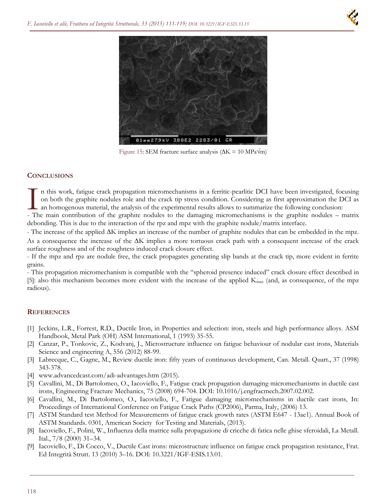

Figure 15: SEM fracture surface analysis ( $\Delta K = 10 \text{ MPa}\sqrt{\text{m}}$ )

### **CONCLUSIONS**

n this work, fatigue crack propagation micromechanisms in a ferritic-pearlitic DCI have been investigated, focusing on both the graphite nodules role and the crack tip stress condition. Considering as first approximation the DCI as an homogenous material, the analysis of the experimental results allows to summarize the following conclusion: The main contribution of the graphite nodules to the damaging micromechanisms is the graphite nodules role and the crack tip stress condition. Considering as first approximation the DCI as an homogenous material, the analy

debonding. This is due to the interaction of the rpz and mpz with the graphite nodule/matrix interface.

- The increase of the applied  $\Delta K$  implies an increase of the number of graphite nodules that can be embedded in the mpz. As a consequence the increase of the  $\Delta K$  implies a more tortuous crack path with a consequent increase of the crack surface roughness and of the roughness induced crack closure effect.

- If the mpz and rpz are nodule free, the crack propagates generating slip bands at the crack tip, more evident in ferrite grains.

- This propagation micromechanism is compatible with the "spheroid presence induced" crack closure effect described in [5]: also this mechanism becomes more evident with the increase of the applied  $K_{\text{max}}$  (and, as consequence, of the mpz radious).

### **REFERENCES**

- [1] Jeckins, L.R., Forrest, R.D., Ductile Iron, in Properties and selection: iron, steels and high performance alloys. ASM Handbook, Metal Park (OH) ASM International, 1 (1993) 35-55.
- [2] Canzar, P., Tonkovic, Z., Kodvanj, J., Microstructure influence on fatigue behaviour of nodular cast irons, Materials Science and engineering A, 556 (2012) 88-99.
- [3] Labrecque, C., Gagne, M., Review ductile iron: fifty years of continuous development, Can. Metall. Quart., 37 (1998) 343-378.
- [4] www.advancedcast.com/adi-advantages.htm (2015).
- [5] Cavallini, M., Di Bartolomeo, O., Iacoviello, F., Fatigue crack propagation damaging micromechanisms in ductile cast irons, Engineering Fracture Mechanics, 75 (2008) 694-704. DOI: 10.1016/j.engfracmech.2007.02.002.
- [6] Cavallini, M., Di Bartolomeo, O., Iacoviello, F., Fatigue damaging micromechanisms in ductile cast irons, In: Proceedings of International Conference on Fatigue Crack Paths (CP2006), Parma, Italy, (2006) 13.
- [7] ASTM Standard test Method for Measurements of fatigue crack growth rates (ASTM E647 13ae1). Annual Book of ASTM Standards. 0301, American Society for Testing and Materials, (2013).
- [8] Iacoviello, F., Polini, W., Influenza della matrice sulla propagazione di cricche di fatica nelle ghise sferoidali, La Metall. Ital., 7/8 (2000) 31–34.
- [9] Iacoviello, F., Di Cocco, V., Ductile Cast irons: microstructure influence on fatigue crack propagation resistance, Frat. Ed Integrità Strutt. 13 (2010) 3–16. DOI: 10.3221/IGF-ESIS.13.01.